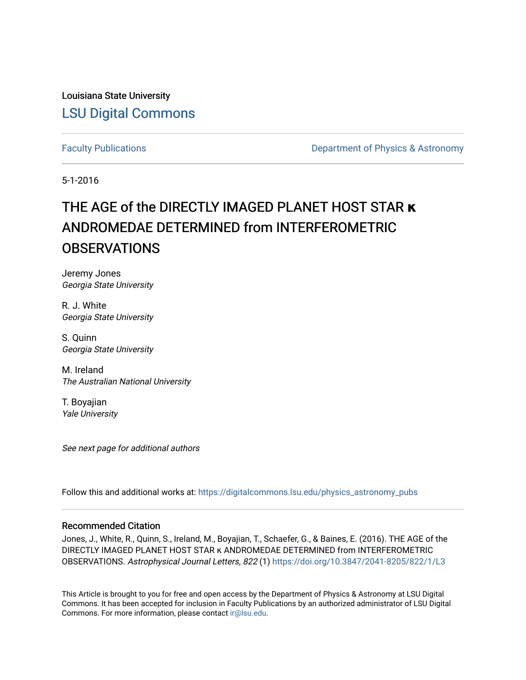Louisiana State University [LSU Digital Commons](https://digitalcommons.lsu.edu/)

[Faculty Publications](https://digitalcommons.lsu.edu/physics_astronomy_pubs) **Exercise 2 and Table 2 and Table 2 and Table 2 and Table 2 and Table 2 and Table 2 and Table 2 and Table 2 and Table 2 and Table 2 and Table 2 and Table 2 and Table 2 and Table 2 and Table 2 and Table** 

5-1-2016

# THE AGE of the DIRECTLY IMAGED PLANET HOST STAR **κ** ANDROMEDAE DETERMINED from INTERFEROMETRIC **OBSERVATIONS**

Jeremy Jones Georgia State University

R. J. White Georgia State University

S. Quinn Georgia State University

M. Ireland The Australian National University

T. Boyajian Yale University

See next page for additional authors

Follow this and additional works at: [https://digitalcommons.lsu.edu/physics\\_astronomy\\_pubs](https://digitalcommons.lsu.edu/physics_astronomy_pubs?utm_source=digitalcommons.lsu.edu%2Fphysics_astronomy_pubs%2F411&utm_medium=PDF&utm_campaign=PDFCoverPages) 

### Recommended Citation

Jones, J., White, R., Quinn, S., Ireland, M., Boyajian, T., Schaefer, G., & Baines, E. (2016). THE AGE of the DIRECTLY IMAGED PLANET HOST STAR κ ANDROMEDAE DETERMINED from INTERFEROMETRIC OBSERVATIONS. Astrophysical Journal Letters, 822 (1)<https://doi.org/10.3847/2041-8205/822/1/L3>

This Article is brought to you for free and open access by the Department of Physics & Astronomy at LSU Digital Commons. It has been accepted for inclusion in Faculty Publications by an authorized administrator of LSU Digital Commons. For more information, please contact [ir@lsu.edu](mailto:ir@lsu.edu).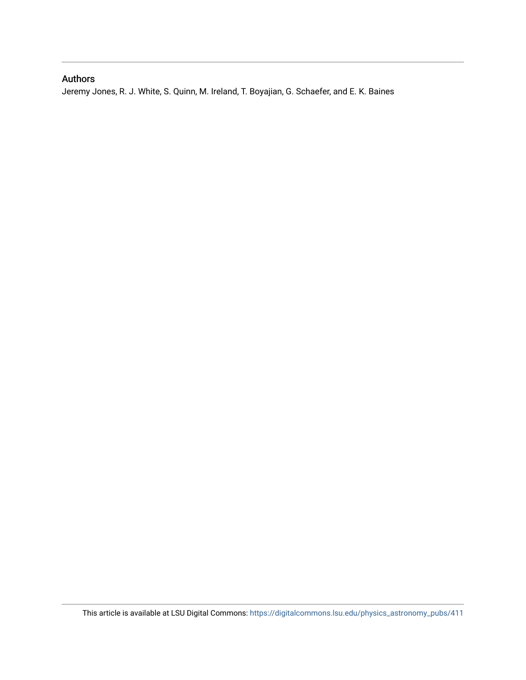## Authors

Jeremy Jones, R. J. White, S. Quinn, M. Ireland, T. Boyajian, G. Schaefer, and E. K. Baines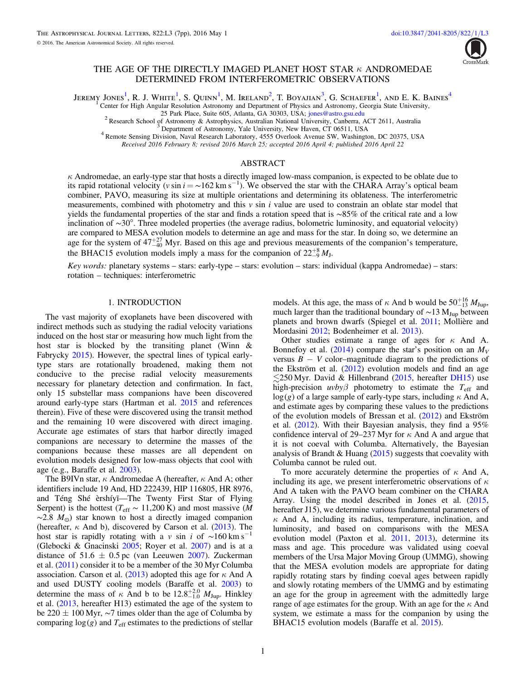

#### THE AGE OF THE DIRECTLY IMAGED PLANET HOST STAR *k* ANDROMEDAE DETERMINED FROM INTERFEROMETRIC OBSERVATIONS

<span id="page-2-2"></span><span id="page-2-1"></span><span id="page-2-0"></span>Jeremy Jones<sup>[1](#page-2-0)</sup>, R. J. White<sup>1</sup>, S. Quinn<sup>1</sup>, M. Ireland<sup>[2](#page-2-1)</sup>, T. Boyajian<sup>[3](#page-2-2)</sup>, G. Schaefer<sup>1</sup>, and E. K. Baines<sup>[4](#page-2-3)</sup>

Center for High Angular Resolution Astronomy and Department of Physics and Astronomy, Georgia State University,<br>25 Park Place, Suite 605, Atlanta, GA 30303, USA; jones@astro.gsu.edu

<sup>2</sup> Research School of Astronomy & Astrophysics, Australian National University, Canberra, ACT 2611, Australia<sup>3</sup> Department of Astronomy, Yale University, New Haven, CT 06511, USA<br><sup>4</sup> Remote Sensing Division, Naval Resea

Received 2016 February 8; revised 2016 March 25; accepted 2016 April 4; published 2016 April 22

#### ABSTRACT

<span id="page-2-3"></span> $\kappa$  Andromedae, an early-type star that hosts a directly imaged low-mass companion, is expected to be oblate due to its rapid rotational velocity (v sin  $i = \sim 162$  km s<sup>-1</sup>). We observed the star with the CHARA Array's optical beam combiner, PAVO, measuring its size at multiple orientations and determining its oblateness. The interferometric measurements, combined with photometry and this  $v \sin i$  value are used to constrain an oblate star model that yields the fundamental properties of the star and finds a rotation speed that is ∼85% of the critical rate and a low inclination of ∼30°. Three modeled properties (the average radius, bolometric luminosity, and equatorial velocity) are compared to MESA evolution models to determine an age and mass for the star. In doing so, we determine an age for the system of  $47^{+27}_{-40}$  Myr. Based on this age and previous measurements of the companion's temperature, the BHAC15 evolution models imply a mass for the companion of  $22^{+8}_{-9}M_J$ .

Key words: planetary systems – stars: early-type – stars: evolution – stars: individual (kappa Andromedae) – stars: rotation – techniques: interferometric

#### 1. INTRODUCTION

The vast majority of exoplanets have been discovered with indirect methods such as studying the radial velocity variations induced on the host star or measuring how much light from the host star is blocked by the transiting planet (Winn & Fabrycky [2015](#page-8-0)). However, the spectral lines of typical earlytype stars are rotationally broadened, making them not conducive to the precise radial velocity measurements necessary for planetary detection and confirmation. In fact, only 15 substellar mass companions have been discovered around early-type stars (Hartman et al. [2015](#page-7-0) and references therein). Five of these were discovered using the transit method and the remaining 10 were discovered with direct imaging. Accurate age estimates of stars that harbor directly imaged companions are necessary to determine the masses of the companions because these masses are all dependent on evolution models designed for low-mass objects that cool with age (e.g., Baraffe et al. [2003](#page-7-1)).

The B9IVn star,  $\kappa$  Andromedae A (hereafter,  $\kappa$  And A; other identifiers include 19 And, HD 222439, HIP 116805, HR 8976, and Téng Shé èrshíyī—The Twenty First Star of Flying Serpent) is the hottest ( $T_{\text{eff}} \sim 11,200 \text{ K}$ ) and most massive (M  $\sim$ 2.8  $M_{\odot}$ ) star known to host a directly imaged companion (hereafter,  $\kappa$  And b), discovered by Carson et al. ([2013](#page-7-2)). The host star is rapidly rotating with a v sin i of  $\sim 160 \text{ km s}^{-1}$ (Glebocki & Gnacinski [2005](#page-7-3); Royer et al. [2007](#page-7-4)) and is at a distance of 51.6  $\pm$  0.5 pc (van Leeuwen [2007](#page-8-1)). Zuckerman et al. ([2011](#page-8-2)) consider it to be a member of the 30 Myr Columba association. Carson et al. ([2013](#page-7-2)) adopted this age for  $\kappa$  And A and used DUSTY cooling models (Baraffe et al. [2003](#page-7-1)) to determine the mass of  $\kappa$  And b to be  $12.8^{+2.0}_{-1.0}$   $M_{\text{Jup}}$ . Hinkley et al. ([2013](#page-7-5), hereafter H13) estimated the age of the system to be 220 ± 100 Myr, ∼7 times older than the age of Columba by comparing  $log(g)$  and  $T_{\text{eff}}$  estimates to the predictions of stellar

models. At this age, the mass of  $\kappa$  And b would be  $50^{+16}_{-13} M_{\text{Jup}}$ , much larger than the traditional boundary of ~13  $M_{Jup}$  between planets and brown dwarfs (Spiegel et al. [2011](#page-7-6); Mollière and Mordasini [2012;](#page-7-7) Bodenheimer et al. [2013](#page-7-8)).

Other studies estimate a range of ages for  $\kappa$  And A. Bonnefoy et al. ([2014](#page-7-9)) compare the star's position on an  $M_V$ versus  $B - V$  color–magnitude diagram to the predictions of the Ekström et al. ([2012](#page-7-10)) evolution models and find an age  $\leq$ 250 Myr. David & Hillenbrand ([2015,](#page-7-11) hereafter [DH15](#page-7-11)) use high-precision  $uvby\beta$  photometry to estimate the  $T_{\text{eff}}$  and  $log(g)$  of a large sample of early-type stars, including  $\kappa$  And A, and estimate ages by comparing these values to the predictions of the evolution models of Bressan et al. ([2012](#page-7-12)) and Ekström et al. ([2012](#page-7-10)). With their Bayesian analysis, they find a 95% confidence interval of 29–237 Myr for  $\kappa$  And A and argue that it is not coeval with Columba. Alternatively, the Bayesian analysis of Brandt & Huang  $(2015)$  $(2015)$  $(2015)$  suggests that coevality with Columba cannot be ruled out.

To more accurately determine the properties of  $\kappa$  And A, including its age, we present interferometric observations of  $\kappa$ And A taken with the PAVO beam combiner on the CHARA Array. Using the model described in Jones et al. ([2015](#page-7-14), hereafter J15), we determine various fundamental parameters of  $\kappa$  And A, including its radius, temperature, inclination, and luminosity, and based on comparisons with the MESA evolution model (Paxton et al. [2011](#page-7-15), [2013](#page-7-16)), determine its mass and age. This procedure was validated using coeval members of the Ursa Major Moving Group (UMMG), showing that the MESA evolution models are appropriate for dating rapidly rotating stars by finding coeval ages between rapidly and slowly rotating members of the UMMG and by estimating an age for the group in agreement with the admittedly large range of age estimates for the group. With an age for the  $\kappa$  And system, we estimate a mass for the companion by using the BHAC15 evolution models (Baraffe et al. [2015](#page-7-17)).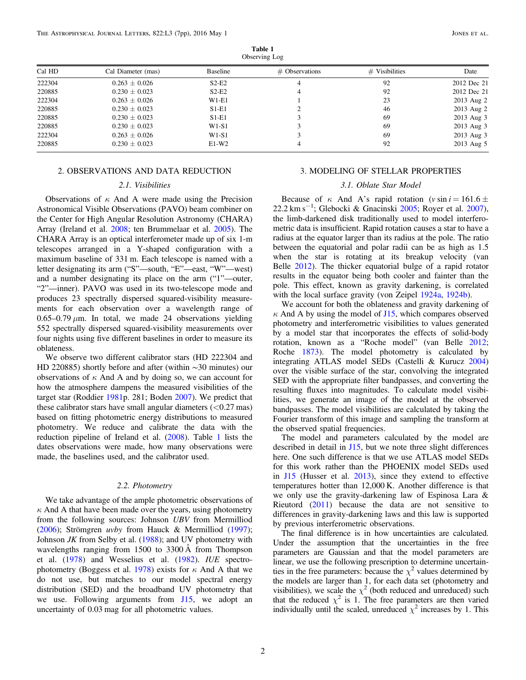<span id="page-3-0"></span>

| ODSEIVING LOG |                    |          |                  |                  |             |  |  |  |
|---------------|--------------------|----------|------------------|------------------|-------------|--|--|--|
| Cal HD        | Cal Diameter (mas) | Baseline | $#$ Observations | $#$ Visibilities | Date        |  |  |  |
| 222304        | $0.263 \pm 0.026$  | $S2-E2$  |                  | 92               | 2012 Dec 21 |  |  |  |
| 220885        | $0.230 \pm 0.023$  | $S2-E2$  |                  | 92               | 2012 Dec 21 |  |  |  |
| 222304        | $0.263 \pm 0.026$  | $W1-E1$  |                  | 23               | 2013 Aug 2  |  |  |  |
| 220885        | $0.230 \pm 0.023$  | $S1-E1$  |                  | 46               | 2013 Aug 2  |  |  |  |
| 220885        | $0.230 \pm 0.023$  | $S1-E1$  |                  | 69               | 2013 Aug 3  |  |  |  |
| 220885        | $0.230 \pm 0.023$  | $W1-S1$  |                  | 69               | 2013 Aug 3  |  |  |  |
| 222304        | $0.263 \pm 0.026$  | $W1-S1$  |                  | 69               | 2013 Aug 3  |  |  |  |
| 220885        | $0.230 \pm 0.023$  | $E1-W2$  |                  | 92               | 2013 Aug 5  |  |  |  |

.<br>ervino l Observing Log

#### 2. OBSERVATIONS AND DATA REDUCTION

#### 2.1. Visibilities

Observations of  $\kappa$  And A were made using the Precision Astronomical Visible Observations (PAVO) beam combiner on the Center for High Angular Resolution Astronomy (CHARA) Array (Ireland et al. [2008](#page-7-18); ten Brummelaar et al. [2005](#page-8-3)). The CHARA Array is an optical interferometer made up of six 1-m telescopes arranged in a Y-shaped configuration with a maximum baseline of 331 m. Each telescope is named with a letter designating its arm ("S"—south, "E"—east, "W"—west) and a number designating its place on the arm ("1"—outer, "2"—inner). PAVO was used in its two-telescope mode and produces 23 spectrally dispersed squared-visibility measurements for each observation over a wavelength range of  $0.65-0.79 \mu m$ . In total, we made 24 observations yielding 552 spectrally dispersed squared-visibility measurements over four nights using five different baselines in order to measure its oblateness.

We observe two different calibrator stars (HD 222304 and HD 220885) shortly before and after (within ∼30 minutes) our observations of  $\kappa$  And A and by doing so, we can account for how the atmosphere dampens the measured visibilities of the target star (Roddier [1981](#page-7-19)p. 281; Boden [2007](#page-7-20)). We predict that these calibrator stars have small angular diameters  $(<0.27$  mas) based on fitting photometric energy distributions to measured photometry. We reduce and calibrate the data with the reduction pipeline of Ireland et al. ([2008](#page-7-18)). Table [1](#page-3-0) lists the dates observations were made, how many observations were made, the baselines used, and the calibrator used.

#### 2.2. Photometry

We take advantage of the ample photometric observations of  $\kappa$  And A that have been made over the years, using photometry from the following sources: Johnson UBV from Mermilliod ([2006](#page-7-21)); Strömgren uvby from Hauck & Mermilliod ([1997](#page-7-22)); Johnson  $JK$  from Selby et al.  $(1988)$  $(1988)$  $(1988)$ ; and UV photometry with wavelengths ranging from 1500 to 3300 Å from Thompson et al. ([1978](#page-8-4)) and Wesselius et al. ([1982](#page-8-5)). IUE spectro-photometry (Boggess et al. [1978](#page-7-24)) exists for  $\kappa$  And A that we do not use, but matches to our model spectral energy distribution (SED) and the broadband UV photometry that we use. Following arguments from [J15,](#page-7-14) we adopt an uncertainty of 0.03 mag for all photometric values.

#### <span id="page-3-1"></span>3. MODELING OF STELLAR PROPERTIES

#### 3.1. Oblate Star Model

Because of  $\kappa$  And A's rapid rotation ( $v \sin i = 161.6 \pm 10$ 22.2 km s<sup>-1</sup>; Glebocki & Gnacinski [2005;](#page-7-3) Royer et al. [2007](#page-7-4)), the limb-darkened disk traditionally used to model interferometric data is insufficient. Rapid rotation causes a star to have a radius at the equator larger than its radius at the pole. The ratio between the equatorial and polar radii can be as high as 1.5 when the star is rotating at its breakup velocity (van Belle [2012](#page-8-6)). The thicker equatorial bulge of a rapid rotator results in the equator being both cooler and fainter than the pole. This effect, known as gravity darkening, is correlated with the local surface gravity (von Zeipel [1924a,](#page-8-7) [1924b](#page-8-8)).

We account for both the oblateness and gravity darkening of  $\kappa$  And A by using the model of [J15](#page-7-14), which compares observed photometry and interferometric visibilities to values generated by a model star that incorporates the effects of solid-body rotation, known as a "Roche model" (van Belle [2012](#page-8-6); Roche [1873](#page-7-25)). The model photometry is calculated by integrating ATLAS model SEDs (Castelli & Kurucz [2004](#page-7-26)) over the visible surface of the star, convolving the integrated SED with the appropriate filter bandpasses, and converting the resulting fluxes into magnitudes. To calculate model visibilities, we generate an image of the model at the observed bandpasses. The model visibilities are calculated by taking the Fourier transform of this image and sampling the transform at the observed spatial frequencies.

The model and parameters calculated by the model are described in detail in [J15](#page-7-14), but we note three slight differences here. One such difference is that we use ATLAS model SEDs for this work rather than the PHOENIX model SEDs used in [J15](#page-7-14) (Husser et al. [2013](#page-7-27)), since they extend to effective temperatures hotter than 12,000 K. Another difference is that we only use the gravity-darkening law of Espinosa Lara & Rieutord ([2011](#page-7-28)) because the data are not sensitive to differences in gravity-darkening laws and this law is supported by previous interferometric observations.

The final difference is in how uncertainties are calculated. Under the assumption that the uncertainties in the free parameters are Gaussian and that the model parameters are linear, we use the following prescription to determine uncertainties in the free parameters: because the  $\chi^2$  values determined by the models are larger than 1, for each data set (photometry and visibilities), we scale the  $\chi^2$  (both reduced and unreduced) such that the reduced  $\chi^2$  is 1. The free parameters are then varied individually until the scaled, unreduced  $\chi^2$  increases by 1. This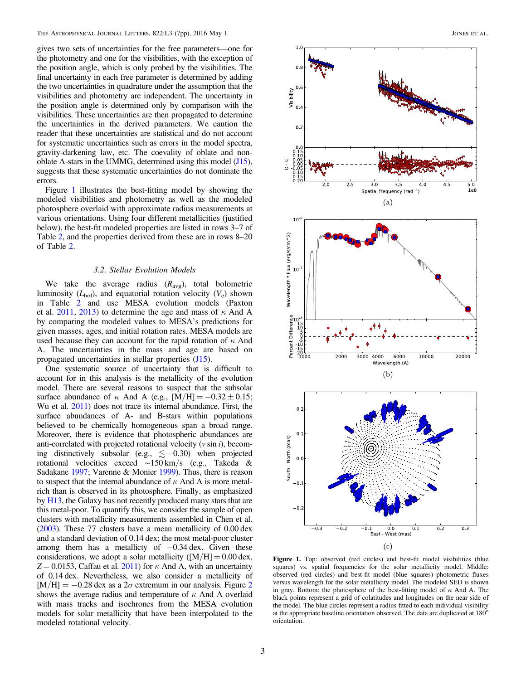gives two sets of uncertainties for the free parameters—one for the photometry and one for the visibilities, with the exception of the position angle, which is only probed by the visibilities. The final uncertainty in each free parameter is determined by adding the two uncertainties in quadrature under the assumption that the visibilities and photometry are independent. The uncertainty in the position angle is determined only by comparison with the visibilities. These uncertainties are then propagated to determine the uncertainties in the derived parameters. We caution the reader that these uncertainties are statistical and do not account for systematic uncertainties such as errors in the model spectra, gravity-darkening law, etc. The coevality of oblate and nonoblate A-stars in the UMMG, determined using this model ([J15](#page-7-14)), suggests that these systematic uncertainties do not dominate the errors.

Figure [1](#page-4-0) illustrates the best-fitting model by showing the modeled visibilities and photometry as well as the modeled photosphere overlaid with approximate radius measurements at various orientations. Using four different metallicities (justified below), the best-fit modeled properties are listed in rows 3–7 of Table [2,](#page-5-0) and the properties derived from these are in rows 8–20 of Table [2](#page-5-0).

#### 3.2. Stellar Evolution Models

We take the average radius  $(R_{\text{avg}})$ , total bolometric luminosity ( $L_{bol}$ ), and equatorial rotation velocity ( $V_e$ ) shown in Table [2](#page-5-0) and use MESA evolution models (Paxton et al. [2011](#page-7-15), [2013](#page-7-16)) to determine the age and mass of  $\kappa$  And A by comparing the modeled values to MESA's predictions for given masses, ages, and initial rotation rates. MESA models are used because they can account for the rapid rotation of  $\kappa$  And A. The uncertainties in the mass and age are based on propagated uncertainties in stellar properties ([J15](#page-7-14)).

One systematic source of uncertainty that is difficult to account for in this analysis is the metallicity of the evolution model. There are several reasons to suspect that the subsolar surface abundance of  $\kappa$  And A (e.g., [M/H] = -0.32 ± 0.15; Wu et al. [2011](#page-8-9)) does not trace its internal abundance. First, the surface abundances of A- and B-stars within populations believed to be chemically homogeneous span a broad range. Moreover, there is evidence that photospheric abundances are anti-correlated with projected rotational velocity  $(v \sin i)$ , becoming distinctively subsolar (e.g.,  $\lesssim -0.30$ ) when projected rotational velocities exceed ∼150 km/s (e.g., Takeda & Sadakane [1997](#page-8-10); Varenne & Monier [1999](#page-8-11)). Thus, there is reason to suspect that the internal abundance of  $\kappa$  And A is more metalrich than is observed in its photosphere. Finally, as emphasized by [H13,](#page-7-5) the Galaxy has not recently produced many stars that are this metal-poor. To quantify this, we consider the sample of open clusters with metallicity measurements assembled in Chen et al. ([2003](#page-7-29)). These 77 clusters have a mean metallicity of 0.00 dex and a standard deviation of 0.14 dex; the most metal-poor cluster among them has a metallicty of  $-0.34$  dex. Given these considerations, we adopt a solar metallicity ( $[M/H] = 0.00$  dex,  $Z = 0.0153$ , Caffau et al. [2011](#page-7-30)) for  $\kappa$  And A, with an uncertainty of 0.14 dex. Nevertheless, we also consider a metallicity of  $[M/H] = -0.28$  $[M/H] = -0.28$  $[M/H] = -0.28$  dex as a  $2\sigma$  extremum in our analysis. Figure 2 shows the average radius and temperature of  $\kappa$  And A overlaid with mass tracks and isochrones from the MESA evolution models for solar metallicity that have been interpolated to the modeled rotational velocity.

<span id="page-4-0"></span>

Figure 1. Top: observed (red circles) and best-fit model visibilities (blue squares) vs. spatial frequencies for the solar metallicity model. Middle: observed (red circles) and best-fit model (blue squares) photometric fluxes versus wavelength for the solar metallicity model. The modeled SED is shown in gray. Bottom: the photosphere of the best-fitting model of  $\kappa$  And A. The black points represent a grid of colatitudes and longitudes on the near side of the model. The blue circles represent a radius fitted to each individual visibility at the appropriate baseline orientation observed. The data are duplicated at 180° orientation.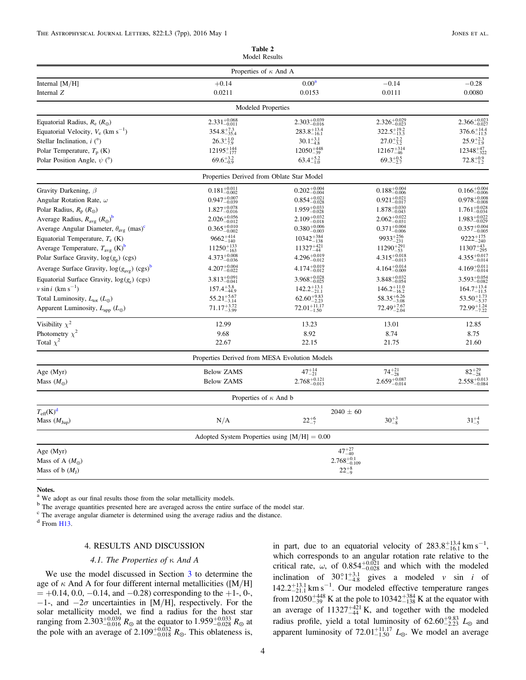<span id="page-5-0"></span>

|                                                                    | Properties of $\kappa$ And A                   |                           |                           |                           |  |
|--------------------------------------------------------------------|------------------------------------------------|---------------------------|---------------------------|---------------------------|--|
| Internal $[M/H]$                                                   | $+0.14$                                        | 0.00 <sup>a</sup>         | $-0.14$                   | $-0.28$                   |  |
| Internal Z                                                         | 0.0211                                         | 0.0153                    | 0.0111                    | 0.0080                    |  |
|                                                                    | Modeled Properties                             |                           |                           |                           |  |
| Equatorial Radius, $R_e$ ( $R_{\odot}$ )                           | $2.331_{-0.011}^{+0.068}$                      | $2.303_{-0.016}^{+0.039}$ | $2.326_{-0.023}^{+0.029}$ | $2.366_{-0.027}^{+0.023}$ |  |
| Equatorial Velocity, $V_e$ (km s <sup>-1</sup> )                   | $354.8^{+7.3}_{-35.4}$                         | $283.8^{+13.4}_{-16.1}$   | $322.5_{-13.3}^{+19.2}$   | $376.6^{+14.4}_{-11.5}$   |  |
| Stellar Inclination, $i$ ( $\degree$ )                             | $26.3^{+1.0}_{-7.9}$                           | $30.1^{+3.1}_{-4.8}$      | $27.0^{+2.2}_{-3.2}$      | $25.9^{+2.3}_{-1.9}$      |  |
| Polar Temperature, $T_p$ (K)                                       | $12195_{-177}^{+144}$                          | $12050^{+448}_{-39}$      | $12167^{+314}_{-46}$      | $12348^{+47}_{-322}$      |  |
| Polar Position Angle, $\psi$ (°)                                   | $69.6^{+3.2}_{-0.9}$                           | $63.4^{+5.2}_{-1.0}$      | $69.3^{+0.5}_{-2.7}$      | $72.8^{+0.9}_{-1.2}$      |  |
|                                                                    | Properties Derived from Oblate Star Model      |                           |                           |                           |  |
| Gravity Darkening, $\beta$                                         | $0.181^{+0.011}_{-0.002}$                      | $0.202_{-0.004}^{+0.004}$ | $0.188^{+0.004}_{-0.006}$ | $0.166^{+0.004}_{-0.006}$ |  |
| Angular Rotation Rate, $\omega$                                    | $0.947_{-0.039}^{+0.007}$                      | $0.854_{-0.028}^{+0.021}$ | $0.921_{-0.017}^{+0.021}$ | $0.978_{-0.008}^{+0.008}$ |  |
| Polar Radius, $R_p(R_{\odot})$                                     | $1.827_{-0.016}^{+0.078}$                      | $1.959_{-0.028}^{+0.033}$ | $1.878_{-0.043}^{+0.030}$ | $1.761_{-0.034}^{+0.028}$ |  |
| Average Radius, $R_{\text{avg}} (R_{\odot})^{\text{b}}$            | $2.026_{-0.012}^{+0.056}$                      | $2.109_{-0.018}^{+0.032}$ | $2.062_{-0.031}^{+0.022}$ | $1.983_{-0.029}^{+0.022}$ |  |
| Average Angular Diameter, $\theta_{\text{avg}}$ (mas) <sup>c</sup> | $0.365_{-0.002}^{+0.010}$                      | $0.380^{+0.006}_{-0.003}$ | $0.371_{-0.006}^{+0.004}$ | $0.357^{+0.004}_{-0.005}$ |  |
| Equatorial Temperature, $T_e$ (K)                                  | $9662^{+414}_{-140}$                           | $10342_{-138}^{+384}$     | $9933_{-231}^{+256}$      | $9222_{-240}^{+175}$      |  |
| Average Temperature, $T_{avg}$ (K) <sup>b</sup>                    | $11250^{+133}_{-163}$                          | $11327_{-44}^{+421}$      | $11290^{+291}_{-53}$      | $11307_{-295}^{+43}$      |  |
| Polar Surface Gravity, $log(g_p)(cgs)$                             | $4.373_{-0.036}^{+0.008}$                      | $4.296_{-0.012}^{+0.019}$ | $4.315_{-0.013}^{+0.018}$ | $4.355_{-0.014}^{+0.017}$ |  |
| Average Surface Gravity, $\log(g_{avg})$ (cgs) <sup>b</sup>        | $4.207_{-0.022}^{+0.004}$                      | $4.174^{+0.019}_{-0.012}$ | $4.164_{-0.009}^{+0.014}$ | $4.169^{+0.011}_{-0.014}$ |  |
| Equatorial Surface Gravity, $log(g_e)$ (cgs)                       | $3.813^{+0.091}_{-0.041}$                      | $3.968_{-0.025}^{+0.028}$ | $3.848_{-0.054}^{+0.032}$ | $3.593^{+0.054}_{-0.082}$ |  |
| $v \sin i$ (km s <sup>-1</sup> )                                   | $157.4^{+5.8}_{-44.9}$                         | $142.2_{-21.1}^{+13.1}$   | $146.2^{+11.0}_{-16.2}$   | $164.7^{+13.4}_{-11.5}$   |  |
| Total Luminosity, $L_{\text{tot}}$ ( $L_{\odot}$ )                 | $55.21_{-3.14}^{+5.67}$                        | $62.60_{-2.23}^{+9.83}$   | $58.35_{-3.08}^{+6.26}$   | $53.50^{+1.73}_{-5.37}$   |  |
| Apparent Luminosity, $L_{\text{app}}$ ( $L_{\odot}$ )              | $71.17_{-3.99}^{+3.72}$                        | $72.01_{-1.50}^{+11.17}$  | $72.49_{-2.04}^{+7.67}$   | $72.99_{-7.22}^{+1.24}$   |  |
| Visibility $\chi^2$                                                | 12.99                                          | 13.23                     | 13.01                     | 12.85                     |  |
| Photometry $\chi^2$                                                | 9.68                                           | 8.92                      | 8.74                      | 8.75                      |  |
| Total $\chi^2$                                                     | 22.67                                          | 22.15                     | 21.75                     | 21.60                     |  |
|                                                                    | Properties Derived from MESA Evolution Models  |                           |                           |                           |  |
| Age (Myr)                                                          | <b>Below ZAMS</b>                              | $47^{+14}_{-21}$          | $74^{+21}_{-28}$          | $82^{+29}_{-28}$          |  |
| Mass $(M_{\odot})$                                                 | <b>Below ZAMS</b>                              | $2.768^{+0.121}_{-0.013}$ | $2.659_{-0.014}^{+0.087}$ | $2.558_{-0.084}^{+0.013}$ |  |
|                                                                    | Properties of $\kappa$ And b                   |                           |                           |                           |  |
| $T_{\text{eff}}(K)^d$                                              | $2040 \pm 60$                                  |                           |                           |                           |  |
| Mass $(M_{Jup})$                                                   | N/A                                            | $22^{+6}_{-7}$            | $30^{+3}_{-8}$            | $31^{+4}_{-5}$            |  |
|                                                                    | Adopted System Properties using $[M/H] = 0.00$ |                           |                           |                           |  |
| Age (Myr)                                                          |                                                | $47^{+27}_{-40}$          |                           |                           |  |
| Mass of A $(M_{\odot})$                                            |                                                | $2.768_{-0.109}^{+0.1}$   |                           |                           |  |
| Mass of b $(MI)$                                                   |                                                | $22^{+8}_{-9}$            |                           |                           |  |
|                                                                    |                                                |                           |                           |                           |  |

Model Results

**Notes.**<br> $^{\text{a}}$  We adopt as our final results those from the solar metallicity models.

<sup>b</sup> The average quantities presented here are averaged across the entire surface of the model star.<br><sup>c</sup> The average angular diameter is determined using the average radius and the distance.

<sup>d</sup> From [H13](#page-7-5).

#### 4. RESULTS AND DISCUSSION

#### 4.1. The Properties of κ And A

We use the model discussed in Section [3](#page-3-1) to determine the age of  $\kappa$  And A for four different internal metallicities ([M/H]  $= +0.14, 0.0, -0.14,$  and  $-0.28$ ) corresponding to the  $+1$ -, 0-,  $-1$ -, and  $-2\sigma$  uncertainties in [M/H], respectively. For the solar metallicity model, we find a radius for the host star ranging from 2.303<sup>+0.039</sup>  $R_{\odot}$  at the equator to 1.959<sup>+0.033</sup>  $R_{\odot}$  at the pole with an average of  $2.109_{-0.018}^{+0.032} R_{\odot}$ . This oblateness is,

in part, due to an equatorial velocity of  $283.8^{+13.4}_{-16.1}$  km s<sup>-1</sup>, which corresponds to an angular rotation rate relative to the critical rate,  $\omega$ , of  $0.854^{+0.021}_{-0.028}$  and which with the modeled inclination of  $30^\circ 1^{+3.1}_{-4.8}$  gives a modeled v sin i of  $142.2^{+13.1}_{-21.1}$  km s<sup>-1</sup>. Our modeled effective temperature ranges from  $12050^{+448}_{-39}$  K at the pole to  $10342^{+384}_{-138}$  K at the equator with an average of  $11327^{+421}_{-44}$  K, and together with the modeled radius profile, yield a total luminosity of  $62.60^{+9.83}_{-2.23}$   $L_{\odot}$  and apparent luminosity of  $72.01_{-1.50}^{+11.17}$   $L_{\odot}$ . We model an average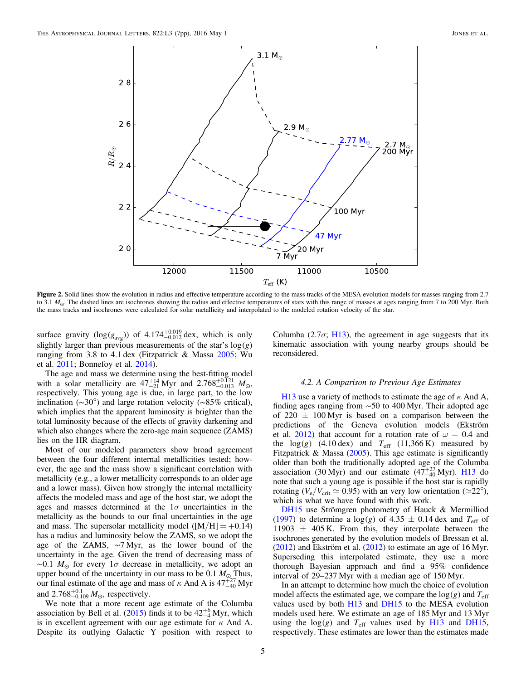<span id="page-6-0"></span>

Figure 2. Solid lines show the evolution in radius and effective temperature according to the mass tracks of the MESA evolution models for masses ranging from 2.7 to 3.1  $M_{\odot}$ . The dashed lines are isochrones showing the radius and effective temperatures of stars with this range of masses at ages ranging from 7 to 200 Myr. Both the mass tracks and isochrones were calculated for solar metallicity and interpolated to the modeled rotation velocity of the star.

surface gravity  $(log(g_{avg}))$  of  $4.174^{+0.019}_{-0.012}$  dex, which is only slightly larger than previous measurements of the star's  $log(g)$ ranging from 3.8 to 4.1 dex (Fitzpatrick & Massa [2005;](#page-7-31) Wu et al. [2011](#page-8-9); Bonnefoy et al. [2014](#page-7-9)).

The age and mass we determine using the best-fitting model with a solar metallicity are  $47^{+14}_{-21}$  Myr and  $2.768^{+0.121}_{-0.013}$   $M_{\odot}$ , respectively. This young age is due, in large part, to the low inclination (∼30°) and large rotation velocity (∼85% critical), which implies that the apparent luminosity is brighter than the total luminosity because of the effects of gravity darkening and which also changes where the zero-age main sequence (ZAMS) lies on the HR diagram.

Most of our modeled parameters show broad agreement between the four different internal metallicities tested; however, the age and the mass show a significant correlation with metallicity (e.g., a lower metallicity corresponds to an older age and a lower mass). Given how strongly the internal metallicity affects the modeled mass and age of the host star, we adopt the ages and masses determined at the  $1\sigma$  uncertainties in the metallicity as the bounds to our final uncertainties in the age and mass. The supersolar metallicity model ( $[M/H] = +0.14$ ) has a radius and luminosity below the ZAMS, so we adopt the age of the ZAMS, ∼7 Myr, as the lower bound of the uncertainty in the age. Given the trend of decreasing mass of  $\sim$ 0.1  $M_{\odot}$  for every 1 $\sigma$  decrease in metallicity, we adopt an upper bound of the uncertainty in our mass to be 0.1  $M_{\odot}$  Thus, our final estimate of the age and mass of  $\kappa$  And A is  $47_{-40}^{+27}$  Myr and  $2.768^{+0.1}_{-0.109} M_{\odot}$ , respectively.

We note that a more recent age estimate of the Columba association by Bell et al. ([2015](#page-7-32)) finds it to be  $42^{+6}_{-4}$  Myr, which is in excellent agreement with our age estimate for  $\kappa$  And A. Despite its outlying Galactic Y position with respect to

Columba (2.7 $\sigma$ ; [H13](#page-7-5)), the agreement in age suggests that its kinematic association with young nearby groups should be reconsidered.

#### 4.2. A Comparison to Previous Age Estimates

[H13](#page-7-5) use a variety of methods to estimate the age of  $\kappa$  And A, finding ages ranging from ∼50 to 400 Myr. Their adopted age of 220  $\pm$  100 Myr is based on a comparison between the predictions of the Geneva evolution models (Ekström et al. [2012](#page-7-10)) that account for a rotation rate of  $\omega = 0.4$  and the  $log(g)$  (4.10 dex) and  $T_{\text{eff}}$  (11,366 K) measured by Fitzpatrick & Massa  $(2005)$  $(2005)$  $(2005)$ . This age estimate is significantly older than both the traditionally adopted age of the Columba association (30 Myr) and our estimate  $(47^{+27}_{-40}$  Myr). [H13](#page-7-5) do note that such a young age is possible if the host star is rapidly rotating ( $V_e/V_{crit} \simeq 0.95$ ) with an very low orientation ( $\simeq 22^{\circ}$ ), which is what we have found with this work.

[DH15](#page-7-11) use Strömgren photometry of Hauck & Mermilliod ([1997](#page-7-22)) to determine a  $log(g)$  of 4.35  $\pm$  0.14 dex and  $T_{\text{eff}}$  of 11903  $\pm$  405 K. From this, they interpolate between the isochrones generated by the evolution models of Bressan et al.  $(2012)$  $(2012)$  $(2012)$  and Ekström et al.  $(2012)$  to estimate an age of 16 Myr. Superseding this interpolated estimate, they use a more thorough Bayesian approach and find a 95% confidence interval of 29–237 Myr with a median age of 150 Myr.

In an attempt to determine how much the choice of evolution model affects the estimated age, we compare the  $log(g)$  and  $T_{\text{eff}}$ values used by both [H13](#page-7-5) and [DH15](#page-7-11) to the MESA evolution models used here. We estimate an age of 185 Myr and 13 Myr using the  $log(g)$  and  $T_{\text{eff}}$  values used by [H13](#page-7-5) and [DH15](#page-7-11), respectively. These estimates are lower than the estimates made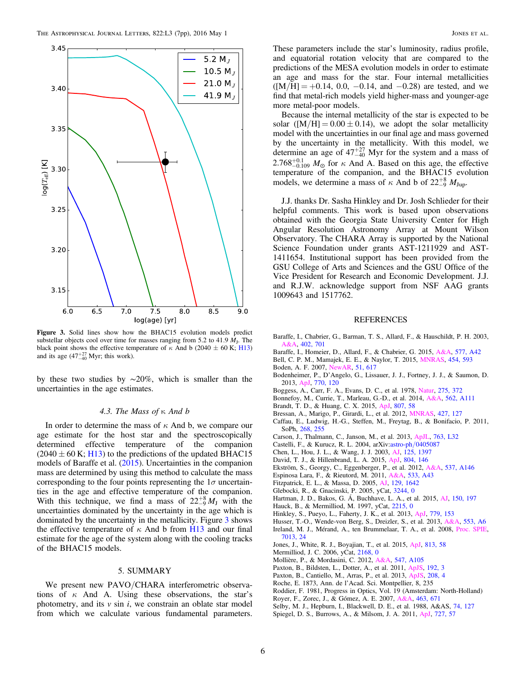<span id="page-7-33"></span>

Figure 3. Solid lines show how the BHAC15 evolution models predict substellar objects cool over time for masses ranging from 5.2 to 41.9  $M_J$ . The black point shows the effective temperature of  $\kappa$  And b (2040  $\pm$  60 K; [H13](#page-7-5)) and its age  $(47^{+27}_{-40}$  Myr; this work).

by these two studies by ∼20%, which is smaller than the uncertainties in the age estimates.

#### 4.3. The Mass of κ And b

In order to determine the mass of  $\kappa$  And b, we compare our age estimate for the host star and the spectroscopically determined effective temperature of the companion  $(2040 \pm 60 \text{ K}; \text{H}13)$  to the predictions of the updated BHAC15 models of Baraffe et al. ([2015](#page-7-17)). Uncertainties in the companion mass are determined by using this method to calculate the mass corresponding to the four points representing the  $1\sigma$  uncertainties in the age and effective temperature of the companion. With this technique, we find a mass of  $22^{+8}_{-9}M_J$  with the uncertainties dominated by the uncertainty in the age which is dominated by the uncertainty in the metallicity. Figure [3](#page-7-33) shows the effective temperature of  $\kappa$  And b from [H13](#page-7-5) and our final estimate for the age of the system along with the cooling tracks of the BHAC15 models.

#### 5. SUMMARY

We present new PAVO/CHARA interferometric observations of  $\kappa$  And A. Using these observations, the star's photometry, and its  $v \sin i$ , we constrain an oblate star model from which we calculate various fundamental parameters.

These parameters include the star's luminosity, radius profile, and equatorial rotation velocity that are compared to the predictions of the MESA evolution models in order to estimate an age and mass for the star. Four internal metallicities  $([M/H] = +0.14, 0.0, -0.14,$  and  $-0.28$ ) are tested, and we find that metal-rich models yield higher-mass and younger-age more metal-poor models.

Because the internal metallicity of the star is expected to be solar ( $[M/H] = 0.00 \pm 0.14$ ), we adopt the solar metallicity model with the uncertainties in our final age and mass governed by the uncertainty in the metallicity. With this model, we determine an age of  $47^{+27}_{-40}$  Myr for the system and a mass of 2.768<sup>+0.1</sup><sub>0.109</sub>  $M_{\odot}$  for  $\kappa$  And A. Based on this age, the effective temperature of the companion, and the BHAC15 evolution models, we determine a mass of  $\kappa$  And b of  $22^{+8}_{-9}$   $M_{\text{Jup}}$ .

J.J. thanks Dr. Sasha Hinkley and Dr. Josh Schlieder for their helpful comments. This work is based upon observations obtained with the Georgia State University Center for High Angular Resolution Astronomy Array at Mount Wilson Observatory. The CHARA Array is supported by the National Science Foundation under grants AST-1211929 and AST-1411654. Institutional support has been provided from the GSU College of Arts and Sciences and the GSU Office of the Vice President for Research and Economic Development. J.J. and R.J.W. acknowledge support from NSF AAG grants 1009643 and 1517762.

#### REFERENCES

- <span id="page-7-1"></span>Baraffe, I., Chabrier, G., Barman, T. S., Allard, F., & Hauschildt, P. H. 2003, [A&A](http://dx.doi.org/10.1051/0004-6361:20030252), [402, 701](http://adsabs.harvard.edu/abs/2003A&A...402..701B)
- <span id="page-7-17"></span>Baraffe, I., Homeier, D., Allard, F., & Chabrier, G. 2015, [A&A](http://dx.doi.org/10.1051/0004-6361/201425481), [577, A42](http://adsabs.harvard.edu/abs/2015A&A...577A..42B)
- <span id="page-7-32"></span>Bell, C. P. M., Mamajek, E. E., & Naylor, T. 2015, [MNRAS](http://dx.doi.org/10.1093/mnras/stv1981), [454, 593](http://adsabs.harvard.edu/abs/2015MNRAS.454..593B)
- <span id="page-7-20"></span>Boden, A. F. 2007, [NewAR](http://dx.doi.org/10.1016/j.newar.2007.06.007), [51, 617](http://adsabs.harvard.edu/abs/2007NewAR..51..617B)
- <span id="page-7-8"></span>Bodenheimer, P., D'Angelo, G., Lissauer, J. J., Fortney, J. J., & Saumon, D. 2013, [ApJ](http://dx.doi.org/10.1088/0004-637X/770/2/120), [770, 120](http://adsabs.harvard.edu/abs/2013ApJ...770..120B)
- <span id="page-7-24"></span>Boggess, A., Carr, F. A., Evans, D. C., et al. 1978, [Natur](http://dx.doi.org/10.1038/275372a0), [275, 372](http://adsabs.harvard.edu/abs/1978Natur.275..372B)
- <span id="page-7-9"></span>Bonnefoy, M., Currie, T., Marleau, G.-D., et al. 2014, [A&A](http://dx.doi.org/10.1051/0004-6361/201322119), [562, A111](http://adsabs.harvard.edu/abs/2014A&A...562A.111B)
- <span id="page-7-13"></span>Brandt, T. D., & Huang, C. X. 2015, [ApJ](http://dx.doi.org/10.1088/0004-637X/807/1/58), [807, 58](http://adsabs.harvard.edu/abs/2015ApJ...807...58B)
- <span id="page-7-12"></span>Bressan, A., Marigo, P., Girardi, L., et al. 2012, [MNRAS](http://dx.doi.org/10.1111/j.1365-2966.2012.21948.x), [427, 127](http://adsabs.harvard.edu/abs/2012MNRAS.427..127B)
- <span id="page-7-30"></span>Caffau, E., Ludwig, H.-G., Steffen, M., Freytag, B., & Bonifacio, P. 2011, SoPh, [268, 255](http://adsabs.harvard.edu/abs/2011SoPh..268..255C)
- <span id="page-7-2"></span>Carson, J., Thalmann, C., Janson, M., et al. 2013, [ApJL](http://dx.doi.org/10.1088/2041-8205/763/2/L32), [763, L32](http://adsabs.harvard.edu/abs/2013ApJ...763L..32C)
- <span id="page-7-26"></span>Castelli, F., & Kurucz, R. L. 2004, arXiv:astro-ph/[0405087](http://arXiv.org/abs/astro-ph/0405087)
- <span id="page-7-29"></span>Chen, L., Hou, J. L., & Wang, J. J. 2003, [AJ,](http://dx.doi.org/10.1086/367911) [125, 1397](http://adsabs.harvard.edu/abs/2003AJ....125.1397C)
- <span id="page-7-11"></span>David, T. J., & Hillenbrand, L. A. 2015, [ApJ](http://dx.doi.org/10.1088/0004-637X/804/2/146), [804, 146](http://adsabs.harvard.edu/abs/2015ApJ...804..146D)
- <span id="page-7-10"></span>Ekström, S., Georgy, C., Eggenberger, P., et al. 2012, [A&A,](http://dx.doi.org/10.1051/0004-6361/201117751) [537, A146](http://adsabs.harvard.edu/abs/2012A&A...537A.146E)
- <span id="page-7-28"></span>Espinosa Lara, F., & Rieutord, M. 2011, [A&A](http://dx.doi.org/10.1051/0004-6361/201117252), [533, A43](http://adsabs.harvard.edu/abs/2011A&A...533A..43E)
- <span id="page-7-31"></span>Fitzpatrick, E. L., & Massa, D. 2005, [AJ,](http://dx.doi.org/10.1086/427855) [129, 1642](http://adsabs.harvard.edu/abs/2005AJ....129.1642F)
- <span id="page-7-3"></span>Glebocki, R., & Gnacinski, P. 2005, yCat, [3244, 0](http://adsabs.harvard.edu/abs/2005yCat.3244....0G)
- <span id="page-7-0"></span>Hartman, J. D., Bakos, G. Á, Buchhave, L. A., et al. 2015, [AJ,](http://dx.doi.org/10.1088/0004-6256/150/6/197) [150, 197](http://adsabs.harvard.edu/abs/2015AJ....150..197H)
- <span id="page-7-22"></span>Hauck, B., & Mermilliod, M. 1997, yCat, [2215, 0](http://adsabs.harvard.edu/abs/1997yCat.2215....0H)
- <span id="page-7-5"></span>Hinkley, S., Pueyo, L., Faherty, J. K., et al. 2013, [ApJ,](http://dx.doi.org/10.1088/0004-637X/779/2/153) [779, 153](http://adsabs.harvard.edu/abs/2013ApJ...779..153H)
- <span id="page-7-27"></span><span id="page-7-18"></span>Husser, T.-O., Wende-von Berg, S., Dreizler, S., et al. 2013, [A&A](http://dx.doi.org/10.1051/0004-6361/201219058), [553, A6](http://adsabs.harvard.edu/abs/2013A&A...553A...6H) Ireland, M. J., Mérand, A., ten Brummelaar, T. A., et al. 2008, [Proc. SPIE](http://dx.doi.org/10.1117/12.788386)[,](http://adsabs.harvard.edu/abs/2008SPIE.7013E..24I)
- [7013, 24](http://adsabs.harvard.edu/abs/2008SPIE.7013E..24I)
- <span id="page-7-14"></span>Jones, J., White, R. J., Boyajian, T., et al. 2015, [ApJ](http://dx.doi.org/10.1088/0004-637X/813/1/58), [813, 58](http://adsabs.harvard.edu/abs/2015ApJ...813...58J)
- <span id="page-7-21"></span>Mermilliod, J. C. 2006, yCat, [2168, 0](http://adsabs.harvard.edu/abs/2006yCat.2168....0M)
- <span id="page-7-7"></span>Mollière, P., & Mordasini, C. 2012, [A&A,](http://dx.doi.org/10.1051/0004-6361/201219844) [547, A105](http://adsabs.harvard.edu/abs/2012A&A...547A.105M)
- <span id="page-7-15"></span>Paxton, B., Bildsten, L., Dotter, A., et al. 2011, [ApJS](http://dx.doi.org/10.1088/0067-0049/192/1/3), [192, 3](http://adsabs.harvard.edu/abs/2011ApJS..192....3P)
- <span id="page-7-16"></span>Paxton, B., Cantiello, M., Arras, P., et al. 2013, [ApJS](http://dx.doi.org/10.1088/0067-0049/208/1/4), [208, 4](http://adsabs.harvard.edu/abs/2013ApJS..208....4P)
- <span id="page-7-25"></span>Roche, E. 1873, Ann. de l'Acad. Sci. Montpellier, 8, 235
- <span id="page-7-19"></span>Roddier, F. 1981, Progress in Optics, Vol. 19 (Amsterdam: North-Holland)
- <span id="page-7-4"></span>Royer, F., Zorec, J., & Gómez, A. E. 2007, [A&A,](http://dx.doi.org/10.1051/0004-6361:20065224) [463, 671](http://adsabs.harvard.edu/abs/2007A&A...463..671R)
- <span id="page-7-23"></span>Selby, M. J., Hepburn, I., Blackwell, D. E., et al. 1988, A&AS, [74, 127](http://adsabs.harvard.edu/abs/1988A&AS...74..127S)
- <span id="page-7-6"></span>Spiegel, D. S., Burrows, A., & Milsom, J. A. 2011, [ApJ](http://dx.doi.org/10.1088/0004-637X/727/1/57), [727, 57](http://adsabs.harvard.edu/abs/2011ApJ...727...57S)